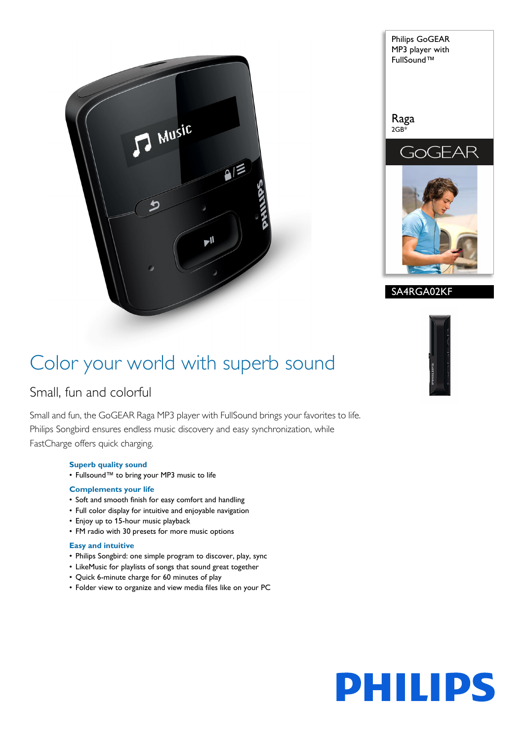

Philips GoGEAR MP3 player with FullSound™ Raga 2GB\* GOGEAR

SA4RGA02KF

## Color your world with superb sound

## Small, fun and colorful

Small and fun, the GoGEAR Raga MP3 player with FullSound brings your favorites to life. Philips Songbird ensures endless music discovery and easy synchronization, while FastCharge offers quick charging.

## **Superb quality sound**

• Fullsound™ to bring your MP3 music to life

## **Complements your life**

- Soft and smooth finish for easy comfort and handling
- Full color display for intuitive and enjoyable navigation
- Enjoy up to 15-hour music playback
- FM radio with 30 presets for more music options

## **Easy and intuitive**

- Philips Songbird: one simple program to discover, play, sync
- LikeMusic for playlists of songs that sound great together
- Quick 6-minute charge for 60 minutes of play
- Folder view to organize and view media files like on your PC



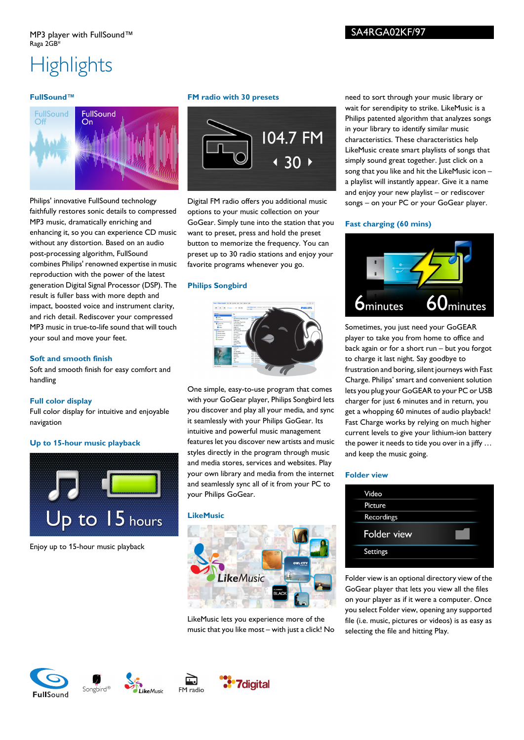# **Highlights**

## **FullSound™**



Philips' innovative FullSound technology faithfully restores sonic details to compressed MP3 music, dramatically enriching and enhancing it, so you can experience CD music without any distortion. Based on an audio post-processing algorithm, FullSound combines Philips' renowned expertise in music reproduction with the power of the latest generation Digital Signal Processor (DSP). The result is fuller bass with more depth and impact, boosted voice and instrument clarity, and rich detail. Rediscover your compressed MP3 music in true-to-life sound that will touch your soul and move your feet.

#### **Soft and smooth finish**

Soft and smooth finish for easy comfort and handling

#### **Full color display**

Full color display for intuitive and enjoyable navigation

## **Up to 15-hour music playback**



Enjoy up to 15-hour music playback

#### **FM radio with 30 presets**



Digital FM radio offers you additional music options to your music collection on your GoGear. Simply tune into the station that you want to preset, press and hold the preset button to memorize the frequency. You can preset up to 30 radio stations and enjoy your favorite programs whenever you go.

#### **Philips Songbird**



One simple, easy-to-use program that comes with your GoGear player, Philips Songbird lets you discover and play all your media, and sync it seamlessly with your Philips GoGear. Its intuitive and powerful music management features let you discover new artists and music styles directly in the program through music and media stores, services and websites. Play your own library and media from the internet and seamlessly sync all of it from your PC to your Philips GoGear.

#### **LikeMusic**



LikeMusic lets you experience more of the music that you like most – with just a click! No need to sort through your music library or wait for serendipity to strike. LikeMusic is a Philips patented algorithm that analyzes songs in your library to identify similar music characteristics. These characteristics help LikeMusic create smart playlists of songs that simply sound great together. Just click on a song that you like and hit the LikeMusic icon – a playlist will instantly appear. Give it a name and enjoy your new playlist – or rediscover songs – on your PC or your GoGear player.

#### **Fast charging (60 mins)**



Sometimes, you just need your GoGEAR player to take you from home to office and back again or for a short run – but you forgot to charge it last night. Say goodbye to frustration and boring, silent journeys with Fast Charge. Philips' smart and convenient solution lets you plug your GoGEAR to your PC or USB charger for just 6 minutes and in return, you get a whopping 60 minutes of audio playback! Fast Charge works by relying on much higher current levels to give your lithium-ion battery the power it needs to tide you over in a jiffy … and keep the music going.

## **Folder view**

| Video           |  |
|-----------------|--|
| Picture         |  |
| Recordings      |  |
| Folder view     |  |
| <b>Settings</b> |  |
|                 |  |

Folder view is an optional directory view of the GoGear player that lets you view all the files on your player as if it were a computer. Once you select Folder view, opening any supported file (i.e. music, pictures or videos) is as easy as selecting the file and hitting Play.